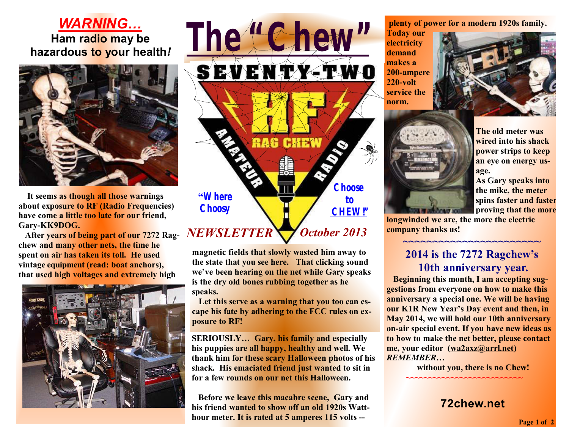## *WARNING…* **Ham radio may be hazardous to your health***!*



 **It seems as though all those warnings about exposure to RF (Radio Frequencies) have come a little too late for our friend, Gary-KK9DOG.** 

**After years of being part of our 7272 Ragchew and many other nets, the time he spent on air has taken its toll. He used vintage equipment (read: boat anchors), that used high voltages and extremely high**





**magnetic fields that slowly wasted him away to the state that you see here. That clicking sound we've been hearing on the net while Gary speaks is the dry old bones rubbing together as he speaks.** 

 **Let this serve as a warning that you too can escape his fate by adhering to the FCC rules on exposure to RF!** 

**SERIOUSLY… Gary, his family and especially his puppies are all happy, healthy and well. We thank him for these scary Halloween photos of his shack. His emaciated friend just wanted to sit in for a few rounds on our net this Halloween.** 

**Before we leave this macabre scene, Gary and his friend wanted to show off an old 1920s Watthour meter. It is rated at 5 amperes 115 volts --**

**plenty of power for a modern 1920s family.** 

**Today our electricity demand makes a 200-ampere 220-volt service the norm.** 





**The old meter was wired into his shack power strips to keep an eye on energy usage.** 

**As Gary speaks into the mike, the meter spins faster and faster proving that the more** 

**longwinded we are, the more the electric company thanks us!** 

## **2014 is the 7272 Ragchew's 10th anniversary year.**

**~~~~~~~~~~~~~~~~~~~~~~~** 

**Beginning this month, I am accepting suggestions from everyone on how to make this anniversary a special one. We will be having our K1R New Year's Day event and then, in May 2014, we will hold our 10th anniversary on-air special event. If you have new ideas as to how to make the net better, please contact me, your editor [\(wa2axz@arrl.net\)](mailto:(wa2axz@arrl.net))**  *REMEMBER…* 

 **without you, there is no Chew!** 

**~~~~~~~~~~~~~~~~~~~~~~~~~~** 

**72chew.net**